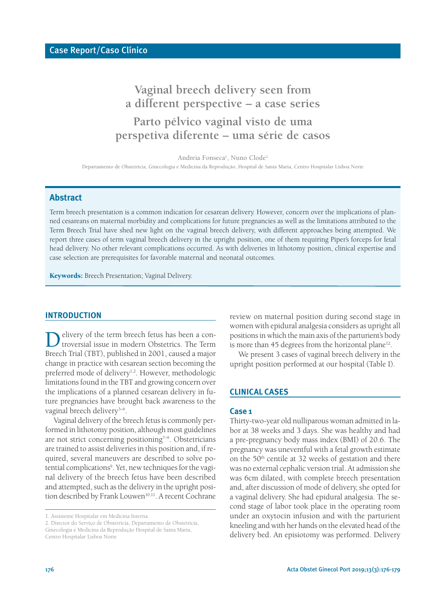# **Vaginal breech delivery seen from a different perspective – a case series Parto pélvico vaginal visto de uma perspetiva diferente – uma série de casos**

Andreia Fonseca<sup>1</sup>, Nuno Clode<sup>2</sup>

Departamento de Obstetrícia, Ginecologia e Medicina da Reprodução, Hospital de Santa Maria, Centro Hospitalar Lisboa Norte

# **Abstract**

Term breech presentation is a common indication for cesarean delivery. However, concern over the implications of planned cesareans on maternal morbidity and complications for future pregnancies as well as the limitations attributed to the Term Breech Trial have shed new light on the vaginal breech delivery, with different approaches being attempted. We report three cases of term vaginal breech delivery in the upright position, one of them requiring Piper's forceps for fetal head delivery. No other relevant complications occurred. As with deliveries in lithotomy position, clinical expertise and case selection are prerequisites for favorable maternal and neonatal outcomes.

**Keywords:** Breech Presentation; Vaginal Delivery.

#### **INTRODUCTION**

Delivery of the term breech fetus has been a controversial issue in modern Obstetrics. The Term Breech Trial (TBT), published in 2001, caused a major change in practice with cesarean section becoming the preferred mode of delivery<sup>1,2</sup>. However, methodologic limitations found in the TBT and growing concern over the implications of a planned cesarean delivery in future pregnancies have brought back awareness to the vaginal breech delivery<sup>3-6</sup>.

Vaginal delivery of the breech fetusis commonly performed in lithotomy position, although most guidelines are not strict concerning positioning<sup>7-9</sup>. Obstetricians are trained to assist deliveriesin this position and, if required, several maneuvers are described to solve potential complications<sup>9</sup>. Yet, new techniques for the vaginal delivery of the breech fetus have been described and attempted, such as the delivery in the upright position described by Frank Louwen<sup>10,11</sup>. A recent Cochrane

review on maternal position during second stage in women with epidural analgesia considers as upright all positions in which the main axis of the parturient's body is more than 45 degrees from the horizontal plane<sup>12</sup>.

We present 3 cases of vaginal breech delivery in the upright position performed at our hospital (Table I).

# **CLINICAL CASES**

#### **Case 1**

Thirty-two-year old nulliparous woman admitted in labor at 38 weeks and 3 days. She was healthy and had a pre-pregnancy body mass index (BMI) of 20.6. The pregnancy was uneventful with a fetal growth estimate on the 50th centile at 32 weeks of gestation and there was no external cephalic version trial. At admission she was 6cm dilated, with complete breech presentation and, after discussion of mode of delivery, she opted for a vaginal delivery. She had epidural analgesia. The second stage of labor took place in the operating room under an oxytocin infusion and with the parturient kneeling and with her hands on the elevated head of the delivery bed. An episiotomy was performed. Delivery

<sup>1.</sup> Assistente Hospitalar em Medicina Interna.

<sup>2.</sup> Director do Serviço de Obstetrícia, Departamento de Obstetrícia, Ginecologia e Medicina da Reprodução Hospital de Santa Maria, Centro Hospitalar Lisboa Norte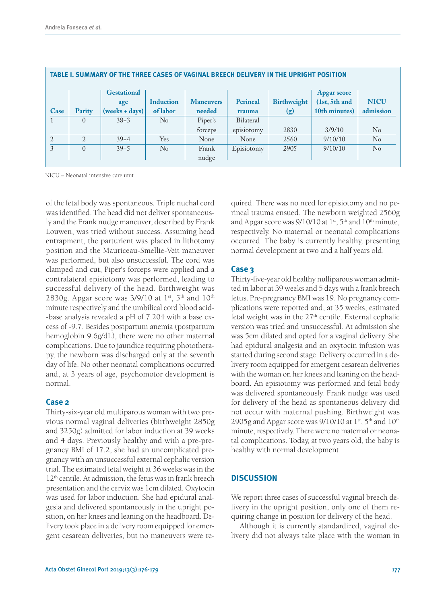| TABLE I. SUMMARY OF THE THREE CASES OF VAGINAL BREECH DELIVERY IN THE UPRIGHT POSITION |                |                    |                  |                  |            |                    |                    |             |
|----------------------------------------------------------------------------------------|----------------|--------------------|------------------|------------------|------------|--------------------|--------------------|-------------|
|                                                                                        |                | <b>Gestational</b> |                  |                  |            |                    | <b>Apgar score</b> |             |
|                                                                                        |                | age                | <b>Induction</b> | <b>Maneuvers</b> | Perineal   | <b>Birthweight</b> | (1st, 5th and      | <b>NICU</b> |
| Case                                                                                   | Parity         | (weeks + days)     | of labor         | needed           | trauma     | (g)                | 10th minutes)      | admission   |
|                                                                                        | $\overline{0}$ | $38 + 3$           | $\rm No$         | Piper's          | Bilateral  |                    |                    |             |
|                                                                                        |                |                    |                  | forceps          | episiotomy | 2830               | 3/9/10             | $\rm No$    |
| 2                                                                                      | $\overline{2}$ | $39+4$             | Yes              | None             | None       | 2560               | 9/10/10            | $\rm No$    |
| 3                                                                                      | $\overline{0}$ | $39 + 5$           | $\rm No$         | Frank            | Episiotomy | 2905               | 9/10/10            | $\rm No$    |
|                                                                                        |                |                    |                  | nudge            |            |                    |                    |             |

## **TABLE I. SUMMARY OF THE THREE CASES OF VAGINAL BREECH DELIVERY IN THE UPRIGHT POSITION**

NICU – Neonatal intensive care unit.

of the fetal body was spontaneous. Triple nuchal cord was identified. The head did not deliver spontaneously and the Frank nudge maneuver, described by Frank Louwen, was tried without success. Assuming head entrapment, the parturient was placed in lithotomy position and the Mauriceau-Smellie-Veit maneuver was performed, but also unsuccessful. The cord was clamped and cut, Piper's forceps were applied and a contralateral episiotomy was performed, leading to successful delivery of the head. Birthweight was 2830g. Apgar score was 3/9/10 at  $1^{\rm st},\,5^{\rm th}$  and  $10^{\rm th}$ minute respectively and the umbilical cord blood acid- -base analysis revealed a pH of 7.204 with a base excess of -9.7. Besides postpartum anemia (postpartum hemoglobin 9.6g/dL), there were no other maternal complications. Due to jaundice requiring phototherapy, the newborn was discharged only at the seventh day of life. No other neonatal complications occurred and, at 3 years of age, psychomotor development is normal.

#### **Case 2**

Thirty-six-year old multiparous woman with two previous normal vaginal deliveries (birthweight 2850g and 3250g) admitted for labor induction at 39 weeks and 4 days. Previously healthy and with a pre-pregnancy BMI of 17.2, she had an uncomplicated pregnancy with an unsuccessful external cephalic version trial. The estimated fetal weight at 36 weeks wasin the 12<sup>th</sup> centile. At admission, the fetus was in frank breech presentation and the cervix was 1cm dilated. Oxytocin was used for labor induction. She had epidural analgesia and delivered spontaneously in the upright position, on her knees and leaning on the headboard. Delivery took place in a delivery room equipped for emergent cesarean deliveries, but no maneuvers were required. There was no need for episiotomy and no perineal trauma ensued. The newborn weighted 2560g and Apgar score was 9/10/10 at  $1^{\text{st}}$ , 5<sup>th</sup> and  $10^{\text{th}}$  minute, respectively. No maternal or neonatal complications occurred. The baby is currently healthy, presenting normal development at two and a half years old.

## **Case 3**

Thirty-five-year old healthy nulliparous woman admitted in labor at 39 weeks and 5 days with a frank breech fetus. Pre-pregnancy BMI was 19. No pregnancy complications were reported and, at 35 weeks, estimated fetal weight was in the 27<sup>th</sup> centile. External cephalic version was tried and unsuccessful. At admission she was 5cm dilated and opted for a vaginal delivery. She had epidural analgesia and an oxytocin infusion was started during second stage. Delivery occurred in a delivery room equipped for emergent cesarean deliveries with the woman on her knees and leaning on the headboard. An episiotomy was performed and fetal body was delivered spontaneously. Frank nudge was used for delivery of the head as spontaneous delivery did not occur with maternal pushing. Birthweight was 2905g and Apgar score was 9/10/10 at  $1^{\rm st}$ , 5<sup>th</sup> and  $10^{\rm th}$ minute, respectively. There were no maternal or neonatal complications. Today, at two years old, the baby is healthy with normal development.

## **DISCUSSION**

We report three cases of successful vaginal breech delivery in the upright position, only one of them requiring change in position for delivery of the head.

Although it is currently standardized, vaginal delivery did not always take place with the woman in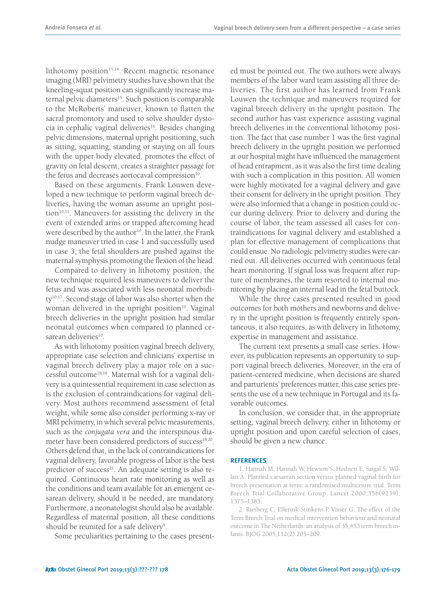lithotomy position<sup>13,14</sup>. Recent magnetic resonance imaging (MRI) pelvimetry studies have shown that the kneeling-squat position can significantly increase maternal pelvic diameters<sup>15</sup>. Such position is comparable to the McRoberts' maneuver, known to flatten the sacral promontory and used to solve shoulder dystocia in cephalic vaginal deliveries<sup>16</sup>. Besides changing pelvic dimensions, maternal upright positioning, such as sitting, squatting, standing or staying on all fours with the upper body elevated, promotes the effect of gravity on fetal descent, creates a straighter passage for the fetus and decreases aortocaval compression $^{\text{10}}$ .

Based on these arguments, Frank Louwen developed a new technique to perform vaginal breech deliveries, having the woman assume an upright position<sup>10,11</sup>. Maneuvers for assisting the delivery in the event of extended arms or trapped aftercoming head were described by the author<sup>10</sup>. In the latter, the Frank nudge maneuver tried in case 1 and successfully used in case 3, the fetal shoulders are pushed against the maternal symphysis promoting the flexion of the head.

Compared to delivery in lithotomy position, the new technique required less maneuvers to deliver the fetus and was associated with less neonatal morbidity<sup>10,17</sup>. Second stage of labor was also shorter when the woman delivered in the upright position<sup>10</sup>. Vaginal breech deliveries in the upright position had similar neonatal outcomes when compared to planned cesarean deliveries<sup>10</sup>.

As with lithotomy position vaginal breech delivery, appropriate case selection and clinicians' expertise in vaginal breech delivery play a major role on a successful outcome<sup>18,19</sup>. Maternal wish for a vaginal delivery is a quintessential requirement in case selection as is the exclusion of contraindications for vaginal delivery. Most authors recommend assessment of fetal weight, while some also consider performing x-ray or MRI pelvimetry, in which several pelvic measurements, such as the *conjugata vera* and the interspinous diameter have been considered predictors of success<sup>18,20</sup>. Others defend that, in the lack of contraindications for vaginal delivery, favorable progress of labor is the best predictor of success<sup>21</sup>. An adequate setting is also required. Continuous heart rate monitoring as well as the conditions and team available for an emergent cesarean delivery, should it be needed, are mandatory. Furthermore, a neonatologist should also be available. Regardless of maternal position, all these conditions should be reunited for a safe delivery<sup>9</sup>.

Some peculiarities pertaining to the cases present-

ed must be pointed out. The two authors were always members of the labor ward team assisting all three deliveries. The first author has learned from Frank Louwen the technique and maneuvers required for vaginal breech delivery in the upright position. The second author has vast experience assisting vaginal breech deliveries in the conventional lithotomy position. The fact that case number 1 was the first vaginal breech delivery in the upright position we performed at our hospital might have influenced the management of head entrapment, as it was also the first time dealing with such a complication in this position. All women were highly motivated for a vaginal delivery and gave their consent for delivery in the upright position. They were also informed that a change in position could occur during delivery. Prior to delivery and during the course of labor, the team assessed all cases for contraindications for vaginal delivery and established a plan for effective management of complications that could ensue. No radiologic pelvimetry studies were carried out. All deliveries occurred with continuous fetal heart monitoring. If signal loss was frequent after rupture of membranes, the team resorted to internal monitoring by placing an internal lead in the fetal buttock.

While the three cases presented resulted in good outcomes for both mothers and newborns and delivery in the upright position is frequently entirely spontaneous, it also requires, as with delivery in lithotomy, expertise in management and assistance.

The current text presents a small case series. However, its publication represents an opportunity to support vaginal breech deliveries. Moreover, in the era of patient-centered medicine, when decisions are shared and parturients' preferences matter, this case series presents the use of a new technique in Portugal and its favorable outcomes.

In conclusion, we consider that, in the appropriate setting, vaginal breech delivery, either in lithotomy or upright position and upon careful selection of cases, should be given a new chance.

#### **REFERENCES**

1. Hannah M, Hannah W, Hewson S, Hodnett E, Saigal S, Willan A. Planned caesarean section versus planned vaginal birth for breech presentation at term: a randomised multicentre trial. Term Breech Trial Collaborative Group. Lancet 2000;356(9239): 1375–1383.

2. Rietberg C, Elferink-Stinkens P, Visser G. The effect of the Term Breech Trial on medical intervention behaviour and neonatal outcome in The Netherlands: an analysis of 35,453 term breech infants. BJOG 2005;112(2):205–209.